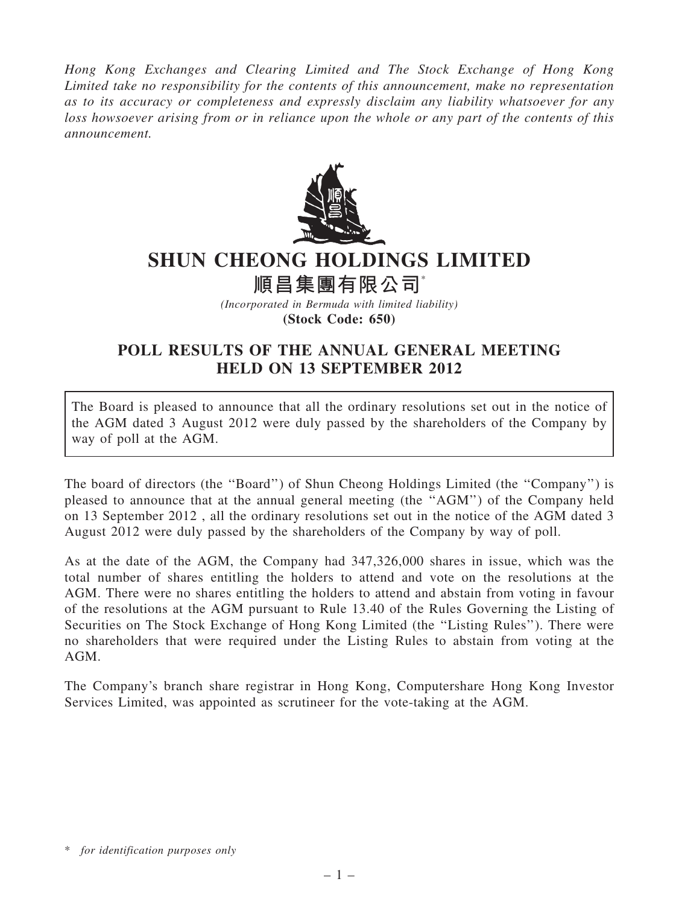Hong Kong Exchanges and Clearing Limited and The Stock Exchange of Hong Kong Limited take no responsibility for the contents of this announcement, make no representation as to its accuracy or completeness and expressly disclaim any liability whatsoever for any loss howsoever arising from or in reliance upon the whole or any part of the contents of this announcement.



## SHUN CHEONG HOLDINGS LIMITED

順昌集團有限公司\*

(Incorporated in Bermuda with limited liability) (Stock Code: 650)

## POLL RESULTS OF THE ANNUAL GENERAL MEETING HELD ON 13 SEPTEMBER 2012

The Board is pleased to announce that all the ordinary resolutions set out in the notice of the AGM dated 3 August 2012 were duly passed by the shareholders of the Company by way of poll at the AGM.

The board of directors (the ''Board'') of Shun Cheong Holdings Limited (the ''Company'') is pleased to announce that at the annual general meeting (the ''AGM'') of the Company held on 13 September 2012 , all the ordinary resolutions set out in the notice of the AGM dated 3 August 2012 were duly passed by the shareholders of the Company by way of poll.

As at the date of the AGM, the Company had 347,326,000 shares in issue, which was the total number of shares entitling the holders to attend and vote on the resolutions at the AGM. There were no shares entitling the holders to attend and abstain from voting in favour of the resolutions at the AGM pursuant to Rule 13.40 of the Rules Governing the Listing of Securities on The Stock Exchange of Hong Kong Limited (the ''Listing Rules''). There were no shareholders that were required under the Listing Rules to abstain from voting at the AGM.

The Company's branch share registrar in Hong Kong, Computershare Hong Kong Investor Services Limited, was appointed as scrutineer for the vote-taking at the AGM.

<sup>\*</sup> for identification purposes only